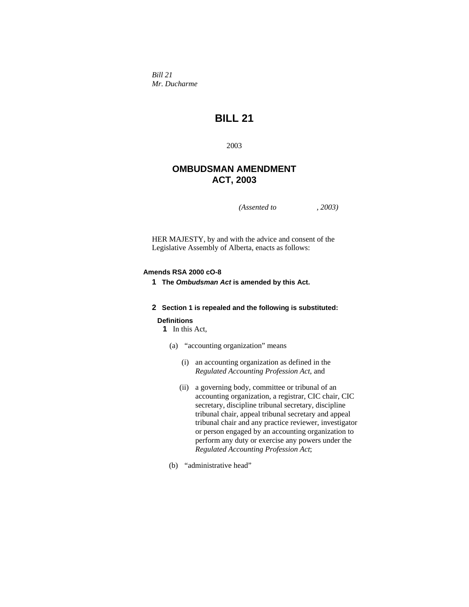*Bill 21 Mr. Ducharme* 

# **BILL 21**

2003

# **OMBUDSMAN AMENDMENT ACT, 2003**

*(Assented to , 2003)* 

HER MAJESTY, by and with the advice and consent of the Legislative Assembly of Alberta, enacts as follows:

# **Amends RSA 2000 cO-8**

**1 The** *Ombudsman Act* **is amended by this Act.** 

# **2 Section 1 is repealed and the following is substituted:**

# **Definitions**

**1** In this Act,

- (a) "accounting organization" means
	- (i) an accounting organization as defined in the *Regulated Accounting Profession Act*, and
	- (ii) a governing body, committee or tribunal of an accounting organization, a registrar, CIC chair, CIC secretary, discipline tribunal secretary, discipline tribunal chair, appeal tribunal secretary and appeal tribunal chair and any practice reviewer, investigator or person engaged by an accounting organization to perform any duty or exercise any powers under the *Regulated Accounting Profession Act*;
- (b) "administrative head"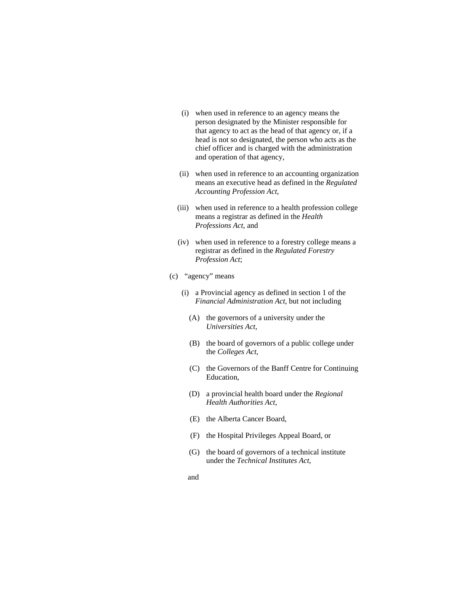- (i) when used in reference to an agency means the person designated by the Minister responsible for that agency to act as the head of that agency or, if a head is not so designated, the person who acts as the chief officer and is charged with the administration and operation of that agency,
- (ii) when used in reference to an accounting organization means an executive head as defined in the *Regulated Accounting Profession Act*,
- (iii) when used in reference to a health profession college means a registrar as defined in the *Health Professions Act*, and
- (iv) when used in reference to a forestry college means a registrar as defined in the *Regulated Forestry Profession Act*;
- (c) "agency" means
	- (i) a Provincial agency as defined in section 1 of the *Financial Administration Act*, but not including
		- (A) the governors of a university under the *Universities Act*,
		- (B) the board of governors of a public college under the *Colleges Act*,
		- (C) the Governors of the Banff Centre for Continuing Education,
		- (D) a provincial health board under the *Regional Health Authorities Act*,
		- (E) the Alberta Cancer Board,
		- (F) the Hospital Privileges Appeal Board, or
		- (G) the board of governors of a technical institute under the *Technical Institutes Act*,
		- and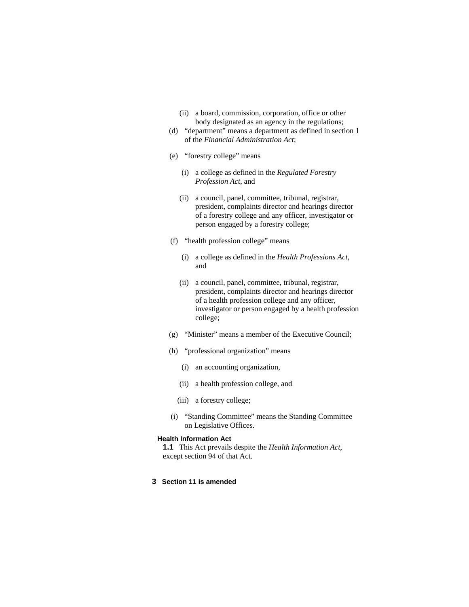- (ii) a board, commission, corporation, office or other body designated as an agency in the regulations;
- (d) "department" means a department as defined in section 1 of the *Financial Administration Act*;
- (e) "forestry college" means
	- (i) a college as defined in the *Regulated Forestry Profession Act*, and
	- (ii) a council, panel, committee, tribunal, registrar, president, complaints director and hearings director of a forestry college and any officer, investigator or person engaged by a forestry college;
- (f) "health profession college" means
	- (i) a college as defined in the *Health Professions Act*, and
	- (ii) a council, panel, committee, tribunal, registrar, president, complaints director and hearings director of a health profession college and any officer, investigator or person engaged by a health profession college;
- (g) "Minister" means a member of the Executive Council;
- (h) "professional organization" means
	- (i) an accounting organization,
	- (ii) a health profession college, and
	- (iii) a forestry college;
- (i) "Standing Committee" means the Standing Committee on Legislative Offices.

#### **Health Information Act**

**1.1** This Act prevails despite the *Health Information Act*, except section 94 of that Act.

# **3 Section 11 is amended**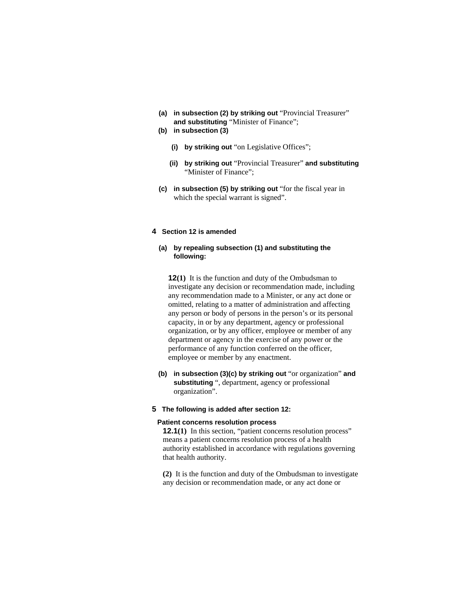- **(a) in subsection (2) by striking out** "Provincial Treasurer" **and substituting** "Minister of Finance";
- **(b) in subsection (3)**
	- **(i) by striking out** "on Legislative Offices";
	- **(ii) by striking out** "Provincial Treasurer" **and substituting**  "Minister of Finance";
- **(c) in subsection (5) by striking out** "for the fiscal year in which the special warrant is signed".

# **4 Section 12 is amended**

### **(a) by repealing subsection (1) and substituting the following:**

**12(1)** It is the function and duty of the Ombudsman to investigate any decision or recommendation made, including any recommendation made to a Minister, or any act done or omitted, relating to a matter of administration and affecting any person or body of persons in the person's or its personal capacity, in or by any department, agency or professional organization, or by any officer, employee or member of any department or agency in the exercise of any power or the performance of any function conferred on the officer, employee or member by any enactment.

 **(b) in subsection (3)(c) by striking out** "or organization" **and substituting** ", department, agency or professional organization".

## **5 The following is added after section 12:**

#### **Patient concerns resolution process**

**12.1(1)** In this section, "patient concerns resolution process" means a patient concerns resolution process of a health authority established in accordance with regulations governing that health authority.

**(2)** It is the function and duty of the Ombudsman to investigate any decision or recommendation made, or any act done or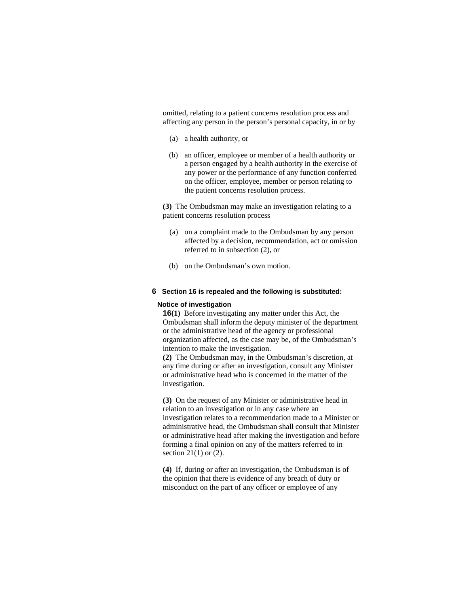omitted, relating to a patient concerns resolution process and affecting any person in the person's personal capacity, in or by

- (a) a health authority, or
- (b) an officer, employee or member of a health authority or a person engaged by a health authority in the exercise of any power or the performance of any function conferred on the officer, employee, member or person relating to the patient concerns resolution process.

**(3)** The Ombudsman may make an investigation relating to a patient concerns resolution process

- (a) on a complaint made to the Ombudsman by any person affected by a decision, recommendation, act or omission referred to in subsection (2), or
- (b) on the Ombudsman's own motion.

#### **6 Section 16 is repealed and the following is substituted:**

#### **Notice of investigation**

**16(1)** Before investigating any matter under this Act, the Ombudsman shall inform the deputy minister of the department or the administrative head of the agency or professional organization affected, as the case may be, of the Ombudsman's intention to make the investigation.

**(2)** The Ombudsman may, in the Ombudsman's discretion, at any time during or after an investigation, consult any Minister or administrative head who is concerned in the matter of the investigation.

**(3)** On the request of any Minister or administrative head in relation to an investigation or in any case where an investigation relates to a recommendation made to a Minister or administrative head, the Ombudsman shall consult that Minister or administrative head after making the investigation and before forming a final opinion on any of the matters referred to in section  $21(1)$  or  $(2)$ .

**(4)** If, during or after an investigation, the Ombudsman is of the opinion that there is evidence of any breach of duty or misconduct on the part of any officer or employee of any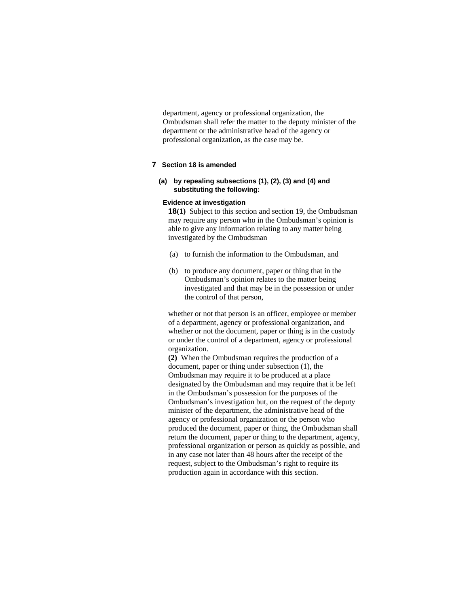department, agency or professional organization, the Ombudsman shall refer the matter to the deputy minister of the department or the administrative head of the agency or professional organization, as the case may be.

# **7 Section 18 is amended**

# **(a) by repealing subsections (1), (2), (3) and (4) and substituting the following:**

# **Evidence at investigation**

**18(1)** Subject to this section and section 19, the Ombudsman may require any person who in the Ombudsman's opinion is able to give any information relating to any matter being investigated by the Ombudsman

- (a) to furnish the information to the Ombudsman, and
- (b) to produce any document, paper or thing that in the Ombudsman's opinion relates to the matter being investigated and that may be in the possession or under the control of that person,

whether or not that person is an officer, employee or member of a department, agency or professional organization, and whether or not the document, paper or thing is in the custody or under the control of a department, agency or professional organization.

**(2)** When the Ombudsman requires the production of a document, paper or thing under subsection (1), the Ombudsman may require it to be produced at a place designated by the Ombudsman and may require that it be left in the Ombudsman's possession for the purposes of the Ombudsman's investigation but, on the request of the deputy minister of the department, the administrative head of the agency or professional organization or the person who produced the document, paper or thing, the Ombudsman shall return the document, paper or thing to the department, agency, professional organization or person as quickly as possible, and in any case not later than 48 hours after the receipt of the request, subject to the Ombudsman's right to require its production again in accordance with this section.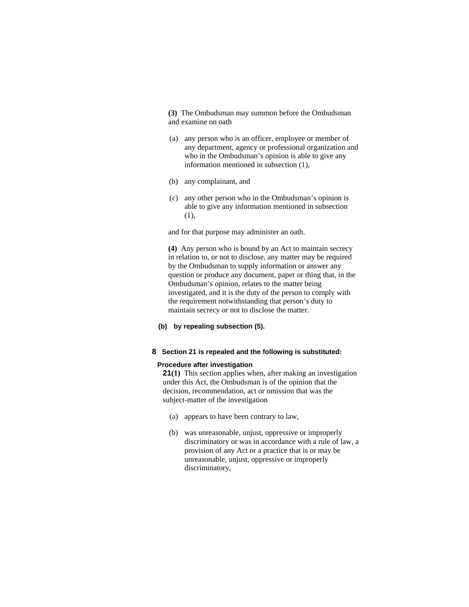**(3)** The Ombudsman may summon before the Ombudsman and examine on oath

- (a) any person who is an officer, employee or member of any department, agency or professional organization and who in the Ombudsman's opinion is able to give any information mentioned in subsection (1),
- (b) any complainant, and
- (c) any other person who in the Ombudsman's opinion is able to give any information mentioned in subsection (1),

and for that purpose may administer an oath.

**(4)** Any person who is bound by an Act to maintain secrecy in relation to, or not to disclose, any matter may be required by the Ombudsman to supply information or answer any question or produce any document, paper or thing that, in the Ombudsman's opinion, relates to the matter being investigated, and it is the duty of the person to comply with the requirement notwithstanding that person's duty to maintain secrecy or not to disclose the matter.

**(b) by repealing subsection (5).**

#### **8 Section 21 is repealed and the following is substituted:**

#### **Procedure after investigation**

**21(1)** This section applies when, after making an investigation under this Act, the Ombudsman is of the opinion that the decision, recommendation, act or omission that was the subject-matter of the investigation

- (a) appears to have been contrary to law,
- (b) was unreasonable, unjust, oppressive or improperly discriminatory or was in accordance with a rule of law, a provision of any Act or a practice that is or may be unreasonable, unjust, oppressive or improperly discriminatory,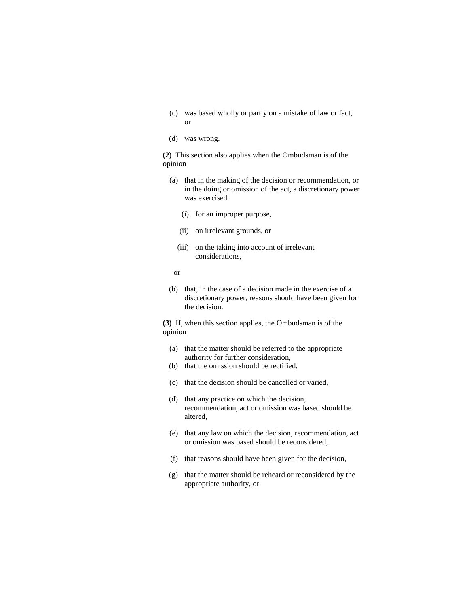- (c) was based wholly or partly on a mistake of law or fact, or
- (d) was wrong.

**(2)** This section also applies when the Ombudsman is of the opinion

- (a) that in the making of the decision or recommendation, or in the doing or omission of the act, a discretionary power was exercised
	- (i) for an improper purpose,
	- (ii) on irrelevant grounds, or
	- (iii) on the taking into account of irrelevant considerations,
- or
- (b) that, in the case of a decision made in the exercise of a discretionary power, reasons should have been given for the decision.

**(3)** If, when this section applies, the Ombudsman is of the opinion

- (a) that the matter should be referred to the appropriate authority for further consideration,
- (b) that the omission should be rectified,
- (c) that the decision should be cancelled or varied,
- (d) that any practice on which the decision, recommendation, act or omission was based should be altered,
- (e) that any law on which the decision, recommendation, act or omission was based should be reconsidered,
- (f) that reasons should have been given for the decision,
- (g) that the matter should be reheard or reconsidered by the appropriate authority, or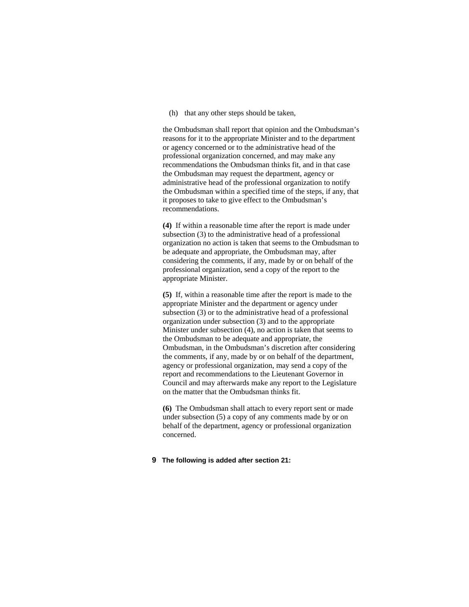(h) that any other steps should be taken,

the Ombudsman shall report that opinion and the Ombudsman's reasons for it to the appropriate Minister and to the department or agency concerned or to the administrative head of the professional organization concerned, and may make any recommendations the Ombudsman thinks fit, and in that case the Ombudsman may request the department, agency or administrative head of the professional organization to notify the Ombudsman within a specified time of the steps, if any, that it proposes to take to give effect to the Ombudsman's recommendations.

**(4)** If within a reasonable time after the report is made under subsection (3) to the administrative head of a professional organization no action is taken that seems to the Ombudsman to be adequate and appropriate, the Ombudsman may, after considering the comments, if any, made by or on behalf of the professional organization, send a copy of the report to the appropriate Minister.

**(5)** If, within a reasonable time after the report is made to the appropriate Minister and the department or agency under subsection (3) or to the administrative head of a professional organization under subsection (3) and to the appropriate Minister under subsection (4), no action is taken that seems to the Ombudsman to be adequate and appropriate, the Ombudsman, in the Ombudsman's discretion after considering the comments, if any, made by or on behalf of the department, agency or professional organization, may send a copy of the report and recommendations to the Lieutenant Governor in Council and may afterwards make any report to the Legislature on the matter that the Ombudsman thinks fit.

**(6)** The Ombudsman shall attach to every report sent or made under subsection (5) a copy of any comments made by or on behalf of the department, agency or professional organization concerned.

# **9 The following is added after section 21:**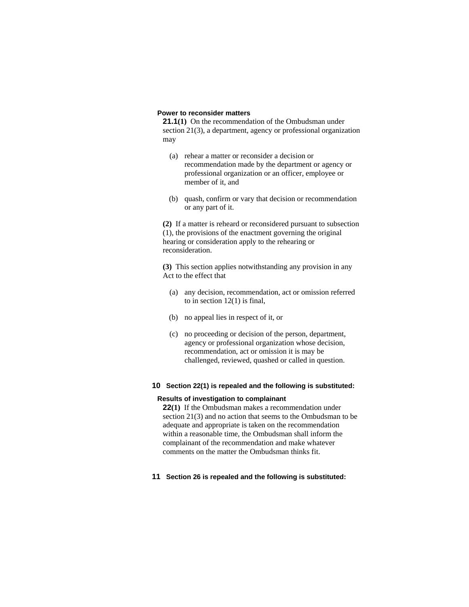# **Power to reconsider matters**

**21.1(1)** On the recommendation of the Ombudsman under section 21(3), a department, agency or professional organization may

- (a) rehear a matter or reconsider a decision or recommendation made by the department or agency or professional organization or an officer, employee or member of it, and
- (b) quash, confirm or vary that decision or recommendation or any part of it.

**(2)** If a matter is reheard or reconsidered pursuant to subsection (1), the provisions of the enactment governing the original hearing or consideration apply to the rehearing or reconsideration.

**(3)** This section applies notwithstanding any provision in any Act to the effect that

- (a) any decision, recommendation, act or omission referred to in section 12(1) is final,
- (b) no appeal lies in respect of it, or
- (c) no proceeding or decision of the person, department, agency or professional organization whose decision, recommendation, act or omission it is may be challenged, reviewed, quashed or called in question.

# **10 Section 22(1) is repealed and the following is substituted:**

#### **Results of investigation to complainant**

**22(1)** If the Ombudsman makes a recommendation under section 21(3) and no action that seems to the Ombudsman to be adequate and appropriate is taken on the recommendation within a reasonable time, the Ombudsman shall inform the complainant of the recommendation and make whatever comments on the matter the Ombudsman thinks fit.

**11 Section 26 is repealed and the following is substituted:**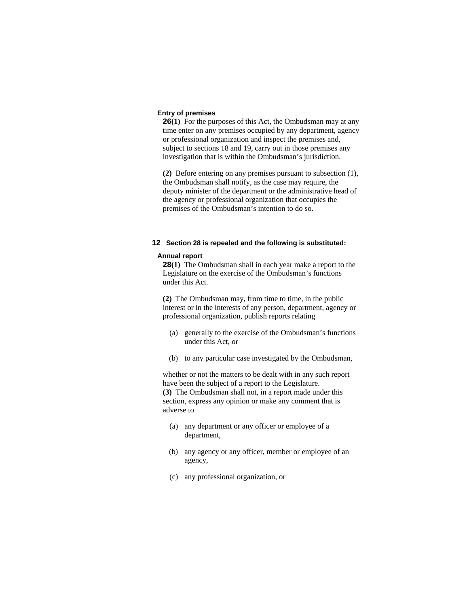# **Entry of premises**

**26(1)** For the purposes of this Act, the Ombudsman may at any time enter on any premises occupied by any department, agency or professional organization and inspect the premises and, subject to sections 18 and 19, carry out in those premises any investigation that is within the Ombudsman's jurisdiction.

**(2)** Before entering on any premises pursuant to subsection (1), the Ombudsman shall notify, as the case may require, the deputy minister of the department or the administrative head of the agency or professional organization that occupies the premises of the Ombudsman's intention to do so.

# **12 Section 28 is repealed and the following is substituted:**

#### **Annual report**

**28(1)** The Ombudsman shall in each year make a report to the Legislature on the exercise of the Ombudsman's functions under this Act.

**(2)** The Ombudsman may, from time to time, in the public interest or in the interests of any person, department, agency or professional organization, publish reports relating

- (a) generally to the exercise of the Ombudsman's functions under this Act, or
- (b) to any particular case investigated by the Ombudsman,

whether or not the matters to be dealt with in any such report have been the subject of a report to the Legislature. **(3)** The Ombudsman shall not, in a report made under this section, express any opinion or make any comment that is adverse to

- (a) any department or any officer or employee of a department,
- (b) any agency or any officer, member or employee of an agency,
- (c) any professional organization, or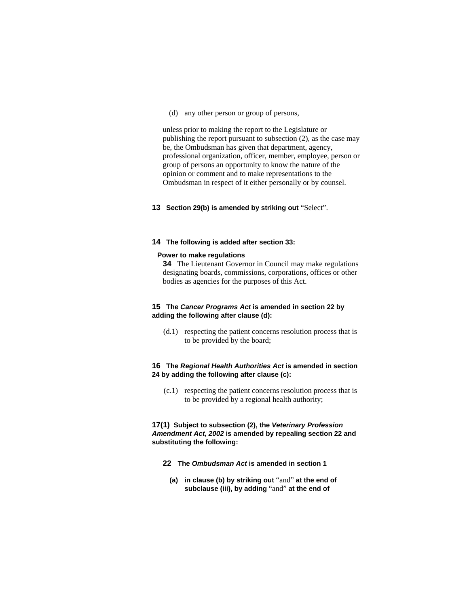(d) any other person or group of persons,

unless prior to making the report to the Legislature or publishing the report pursuant to subsection (2), as the case may be, the Ombudsman has given that department, agency, professional organization, officer, member, employee, person or group of persons an opportunity to know the nature of the opinion or comment and to make representations to the Ombudsman in respect of it either personally or by counsel.

#### **13 Section 29(b) is amended by striking out** "Select".

# **14 The following is added after section 33:**

#### **Power to make regulations**

**34** The Lieutenant Governor in Council may make regulations designating boards, commissions, corporations, offices or other bodies as agencies for the purposes of this Act.

# **15 The** *Cancer Programs Act* **is amended in section 22 by adding the following after clause (d):**

 (d.1) respecting the patient concerns resolution process that is to be provided by the board;

# **16 The** *Regional Health Authorities Act* **is amended in section 24 by adding the following after clause (c):**

 (c.1) respecting the patient concerns resolution process that is to be provided by a regional health authority;

**17(1) Subject to subsection (2), the** *Veterinary Profession Amendment Act, 2002* **is amended by repealing section 22 and substituting the following:** 

- **22 The** *Ombudsman Act* **is amended in section 1**
	- **(a) in clause (b) by striking out** "and" **at the end of subclause (iii), by adding** "and" **at the end of**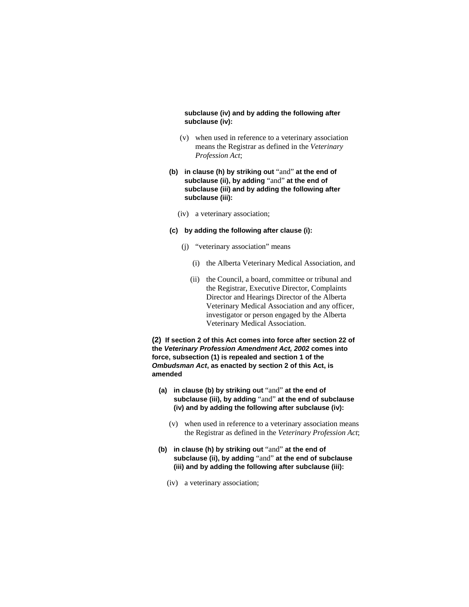# **subclause (iv) and by adding the following after subclause (iv):**

- (v) when used in reference to a veterinary association means the Registrar as defined in the *Veterinary Profession Act*;
- **(b) in clause (h) by striking out** "and" **at the end of subclause (ii), by adding** "and" **at the end of subclause (iii) and by adding the following after subclause (iii):**
	- (iv) a veterinary association;

### **(c) by adding the following after clause (i):**

- (j) "veterinary association" means
	- (i) the Alberta Veterinary Medical Association, and
	- (ii) the Council, a board, committee or tribunal and the Registrar, Executive Director, Complaints Director and Hearings Director of the Alberta Veterinary Medical Association and any officer, investigator or person engaged by the Alberta Veterinary Medical Association.

**(2) If section 2 of this Act comes into force after section 22 of the** *Veterinary Profession Amendment Act, 2002* **comes into force, subsection (1) is repealed and section 1 of the**  *Ombudsman Act***, as enacted by section 2 of this Act, is amended**

- **(a) in clause (b) by striking out** "and" **at the end of subclause (iii), by adding** "and" **at the end of subclause (iv) and by adding the following after subclause (iv):**
	- (v) when used in reference to a veterinary association means the Registrar as defined in the *Veterinary Profession Act*;
- **(b) in clause (h) by striking out** "and" **at the end of subclause (ii), by adding** "and" **at the end of subclause (iii) and by adding the following after subclause (iii):**
	- (iv) a veterinary association;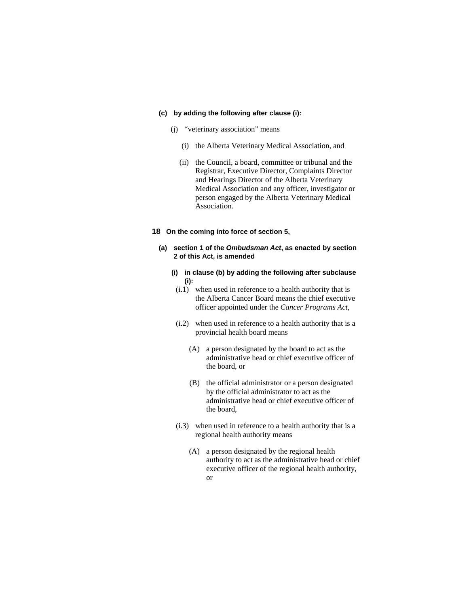#### **(c) by adding the following after clause (i):**

- (j) "veterinary association" means
	- (i) the Alberta Veterinary Medical Association, and
	- (ii) the Council, a board, committee or tribunal and the Registrar, Executive Director, Complaints Director and Hearings Director of the Alberta Veterinary Medical Association and any officer, investigator or person engaged by the Alberta Veterinary Medical Association.

# **18 On the coming into force of section 5,**

- **(a) section 1 of the** *Ombudsman Act***, as enacted by section 2 of this Act, is amended**
	- **(i) in clause (b) by adding the following after subclause (i):**
	- (i.1) when used in reference to a health authority that is the Alberta Cancer Board means the chief executive officer appointed under the *Cancer Programs Act*,
	- (i.2) when used in reference to a health authority that is a provincial health board means
		- (A) a person designated by the board to act as the administrative head or chief executive officer of the board, or
		- (B) the official administrator or a person designated by the official administrator to act as the administrative head or chief executive officer of the board,
	- (i.3) when used in reference to a health authority that is a regional health authority means
		- (A) a person designated by the regional health authority to act as the administrative head or chief executive officer of the regional health authority, or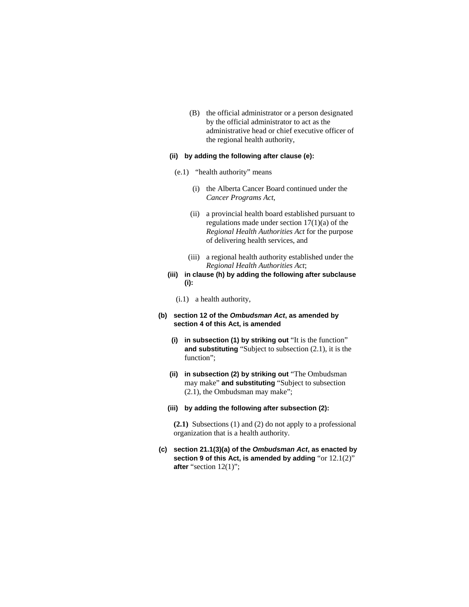(B) the official administrator or a person designated by the official administrator to act as the administrative head or chief executive officer of the regional health authority,

# **(ii) by adding the following after clause (e):**

- (e.1) "health authority" means
	- (i) the Alberta Cancer Board continued under the *Cancer Programs Act*,
	- (ii) a provincial health board established pursuant to regulations made under section 17(1)(a) of the *Regional Health Authorities Act* for the purpose of delivering health services, and
	- (iii) a regional health authority established under the *Regional Health Authorities Act*;
- **(iii) in clause (h) by adding the following after subclause (i):** 
	- (i.1) a health authority,
- **(b) section 12 of the** *Ombudsman Act***, as amended by section 4 of this Act, is amended**
	- **(i) in subsection (1) by striking out** "It is the function" **and substituting** "Subject to subsection (2.1), it is the function";
	- **(ii) in subsection (2) by striking out** "The Ombudsman may make" **and substituting** "Subject to subsection (2.1), the Ombudsman may make";
	- **(iii) by adding the following after subsection (2):**

**(2.1)** Subsections (1) and (2) do not apply to a professional organization that is a health authority.

**(c) section 21.1(3)(a) of the** *Ombudsman Act***, as enacted by section 9 of this Act, is amended by adding** "or 12.1(2)" **after** "section 12(1)";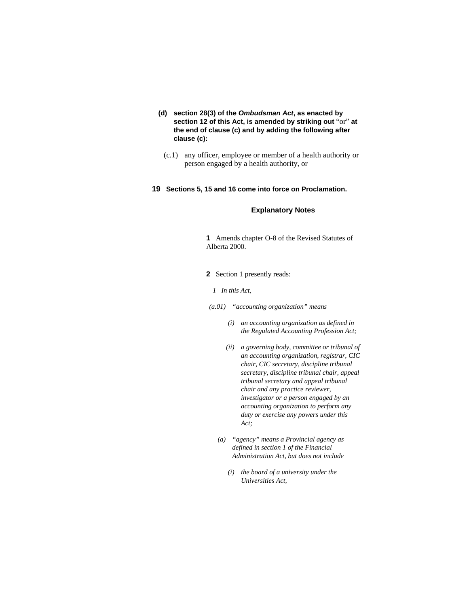- **(d) section 28(3) of the** *Ombudsman Act***, as enacted by section 12 of this Act, is amended by striking out** "or" **at the end of clause (c) and by adding the following after clause (c):**
	- (c.1) any officer, employee or member of a health authority or person engaged by a health authority, or

# **19 Sections 5, 15 and 16 come into force on Proclamation.**

# **Explanatory Notes**

- **1** Amends chapter O-8 of the Revised Statutes of Alberta 2000.
- **2** Section 1 presently reads:
	- *1 In this Act,*
- *(a.01) "accounting organization" means* 
	- *(i) an accounting organization as defined in the Regulated Accounting Profession Act;*
	- *(ii) a governing body, committee or tribunal of an accounting organization, registrar, CIC chair, CIC secretary, discipline tribunal secretary, discipline tribunal chair, appeal tribunal secretary and appeal tribunal chair and any practice reviewer, investigator or a person engaged by an accounting organization to perform any duty or exercise any powers under this Act;*
	- *(a) "agency" means a Provincial agency as defined in section 1 of the Financial Administration Act, but does not include* 
		- *(i) the board of a university under the Universities Act,*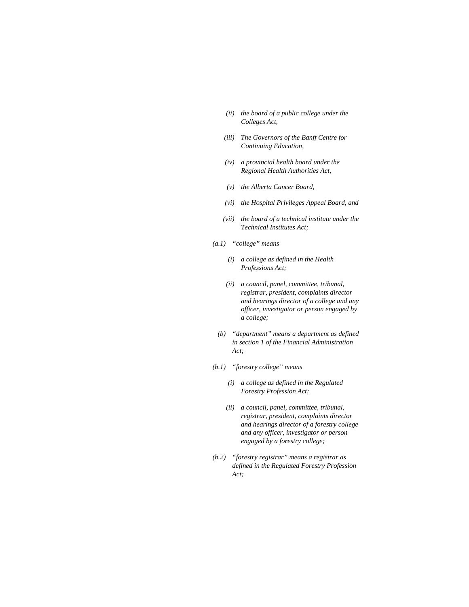- *(ii) the board of a public college under the Colleges Act,*
- *(iii) The Governors of the Banff Centre for Continuing Education,*
- *(iv) a provincial health board under the Regional Health Authorities Act,*
- *(v) the Alberta Cancer Board,*
- *(vi) the Hospital Privileges Appeal Board, and*
- *(vii) the board of a technical institute under the Technical Institutes Act;*
- *(a.1) "college" means* 
	- *(i) a college as defined in the Health Professions Act;*
	- *(ii) a council, panel, committee, tribunal, registrar, president, complaints director and hearings director of a college and any officer, investigator or person engaged by a college;*
	- *(b) "department" means a department as defined in section 1 of the Financial Administration Act;*
- *(b.1) "forestry college" means* 
	- *(i) a college as defined in the Regulated Forestry Profession Act;*
	- *(ii) a council, panel, committee, tribunal, registrar, president, complaints director and hearings director of a forestry college and any officer, investigator or person engaged by a forestry college;*
- *(b.2) "forestry registrar" means a registrar as defined in the Regulated Forestry Profession Act;*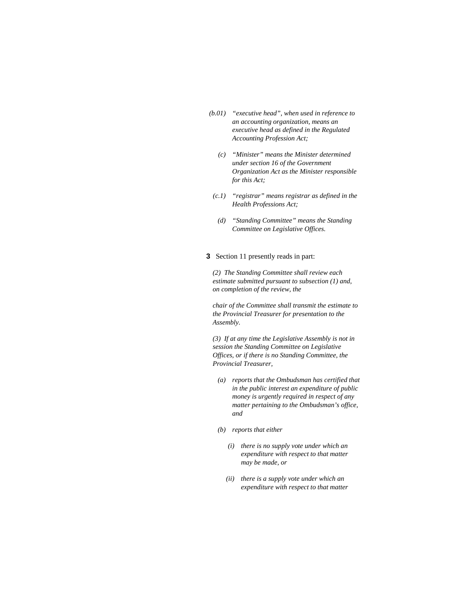- *(b.01) "executive head", when used in reference to an accounting organization, means an executive head as defined in the Regulated Accounting Profession Act;* 
	- *(c) "Minister" means the Minister determined under section 16 of the Government Organization Act as the Minister responsible for this Act;*
- *(c.1) "registrar" means registrar as defined in the Health Professions Act;*
- *(d) "Standing Committee" means the Standing Committee on Legislative Offices.*
- **3** Section 11 presently reads in part:

*(2) The Standing Committee shall review each estimate submitted pursuant to subsection (1) and, on completion of the review, the* 

*chair of the Committee shall transmit the estimate to the Provincial Treasurer for presentation to the Assembly.* 

*(3) If at any time the Legislative Assembly is not in session the Standing Committee on Legislative Offices, or if there is no Standing Committee, the Provincial Treasurer,* 

- *(a) reports that the Ombudsman has certified that in the public interest an expenditure of public money is urgently required in respect of any matter pertaining to the Ombudsman's office, and*
- *(b) reports that either* 
	- *(i) there is no supply vote under which an expenditure with respect to that matter may be made, or*
	- *(ii) there is a supply vote under which an expenditure with respect to that matter*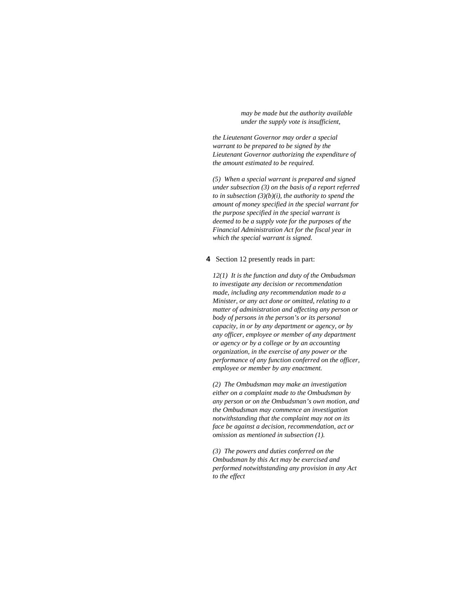*may be made but the authority available under the supply vote is insufficient,* 

*the Lieutenant Governor may order a special warrant to be prepared to be signed by the Lieutenant Governor authorizing the expenditure of the amount estimated to be required.* 

*(5) When a special warrant is prepared and signed under subsection (3) on the basis of a report referred to in subsection (3)(b)(i), the authority to spend the amount of money specified in the special warrant for the purpose specified in the special warrant is deemed to be a supply vote for the purposes of the Financial Administration Act for the fiscal year in which the special warrant is signed.* 

#### **4** Section 12 presently reads in part:

*12(1) It is the function and duty of the Ombudsman to investigate any decision or recommendation made, including any recommendation made to a Minister, or any act done or omitted, relating to a matter of administration and affecting any person or body of persons in the person's or its personal capacity, in or by any department or agency, or by any officer, employee or member of any department or agency or by a college or by an accounting organization, in the exercise of any power or the performance of any function conferred on the officer, employee or member by any enactment.* 

*(2) The Ombudsman may make an investigation either on a complaint made to the Ombudsman by any person or on the Ombudsman's own motion, and the Ombudsman may commence an investigation notwithstanding that the complaint may not on its face be against a decision, recommendation, act or omission as mentioned in subsection (1).* 

*(3) The powers and duties conferred on the Ombudsman by this Act may be exercised and performed notwithstanding any provision in any Act to the effect*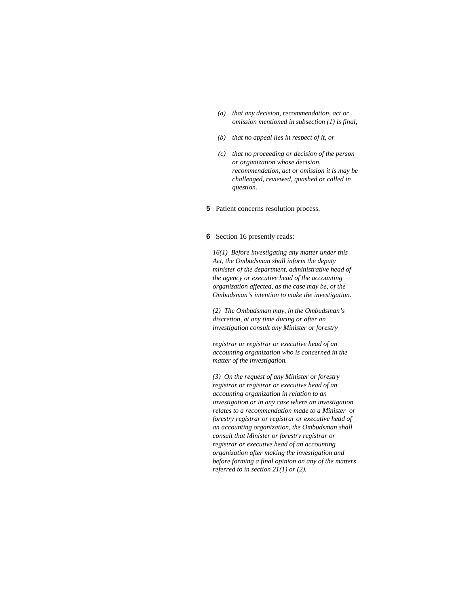- *(a) that any decision, recommendation, act or omission mentioned in subsection (1) is final,*
- *(b) that no appeal lies in respect of it, or*
- *(c) that no proceeding or decision of the person or organization whose decision, recommendation, act or omission it is may be challenged, reviewed, quashed or called in question.*
- **5** Patient concerns resolution process.

# **6** Section 16 presently reads:

*16(1) Before investigating any matter under this Act, the Ombudsman shall inform the deputy minister of the department, administrative head of the agency or executive head of the accounting organization affected, as the case may be, of the Ombudsman's intention to make the investigation.* 

*(2) The Ombudsman may, in the Ombudsman's discretion, at any time during or after an investigation consult any Minister or forestry* 

*registrar or registrar or executive head of an accounting organization who is concerned in the matter of the investigation.* 

*(3) On the request of any Minister or forestry registrar or registrar or executive head of an accounting organization in relation to an investigation or in any case where an investigation relates to a recommendation made to a Minister or forestry registrar or registrar or executive head of an accounting organization, the Ombudsman shall consult that Minister or forestry registrar or registrar or executive head of an accounting organization after making the investigation and before forming a final opinion on any of the matters referred to in section 21(1) or (2).*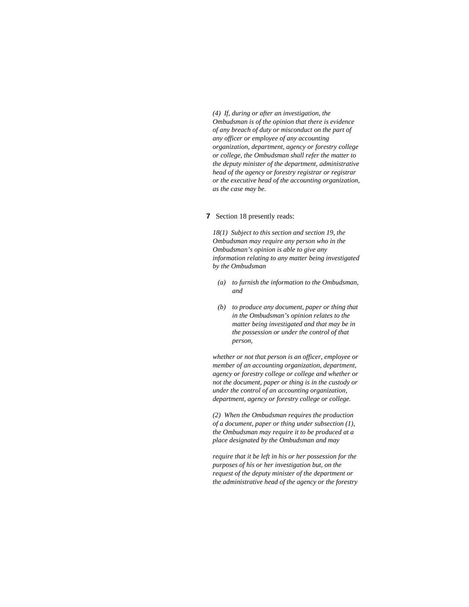*(4) If, during or after an investigation, the Ombudsman is of the opinion that there is evidence of any breach of duty or misconduct on the part of any officer or employee of any accounting organization, department, agency or forestry college or college, the Ombudsman shall refer the matter to the deputy minister of the department, administrative head of the agency or forestry registrar or registrar or the executive head of the accounting organization, as the case may be.* 

#### **7** Section 18 presently reads:

*18(1) Subject to this section and section 19, the Ombudsman may require any person who in the Ombudsman's opinion is able to give any information relating to any matter being investigated by the Ombudsman* 

- *(a) to furnish the information to the Ombudsman, and*
- *(b) to produce any document, paper or thing that in the Ombudsman's opinion relates to the matter being investigated and that may be in the possession or under the control of that person,*

*whether or not that person is an officer, employee or member of an accounting organization, department, agency or forestry college or college and whether or not the document, paper or thing is in the custody or under the control of an accounting organization, department, agency or forestry college or college.* 

*(2) When the Ombudsman requires the production of a document, paper or thing under subsection (1), the Ombudsman may require it to be produced at a place designated by the Ombudsman and may* 

*require that it be left in his or her possession for the purposes of his or her investigation but, on the request of the deputy minister of the department or the administrative head of the agency or the forestry*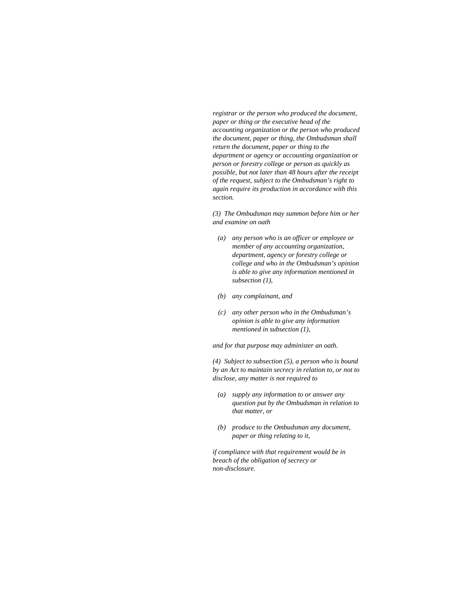*registrar or the person who produced the document, paper or thing or the executive head of the accounting organization or the person who produced the document, paper or thing, the Ombudsman shall return the document, paper or thing to the department or agency or accounting organization or person or forestry college or person as quickly as possible, but not later than 48 hours after the receipt of the request, subject to the Ombudsman's right to again require its production in accordance with this section.* 

*(3) The Ombudsman may summon before him or her and examine on oath* 

- *(a) any person who is an officer or employee or member of any accounting organization, department, agency or forestry college or college and who in the Ombudsman's opinion is able to give any information mentioned in subsection (1),*
- *(b) any complainant, and*
- *(c) any other person who in the Ombudsman's opinion is able to give any information mentioned in subsection (1),*

*and for that purpose may administer an oath.* 

*(4) Subject to subsection (5), a person who is bound by an Act to maintain secrecy in relation to, or not to disclose, any matter is not required to* 

- *(a) supply any information to or answer any question put by the Ombudsman in relation to that matter, or*
- *(b) produce to the Ombudsman any document, paper or thing relating to it,*

*if compliance with that requirement would be in breach of the obligation of secrecy or non-disclosure.*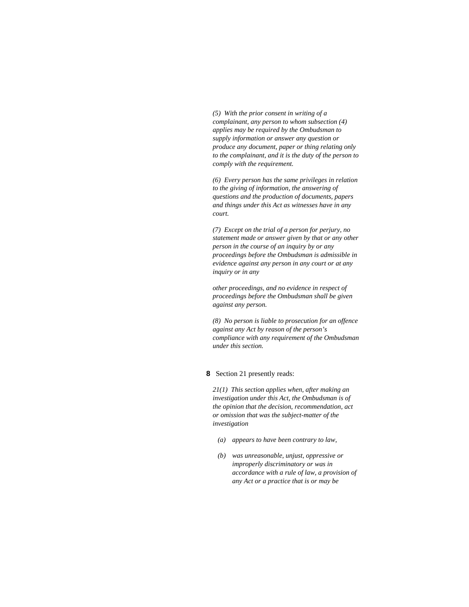*(5) With the prior consent in writing of a complainant, any person to whom subsection (4) applies may be required by the Ombudsman to supply information or answer any question or produce any document, paper or thing relating only to the complainant, and it is the duty of the person to comply with the requirement.* 

*(6) Every person has the same privileges in relation to the giving of information, the answering of questions and the production of documents, papers and things under this Act as witnesses have in any court.* 

*(7) Except on the trial of a person for perjury, no statement made or answer given by that or any other person in the course of an inquiry by or any proceedings before the Ombudsman is admissible in evidence against any person in any court or at any inquiry or in any* 

*other proceedings, and no evidence in respect of proceedings before the Ombudsman shall be given against any person.* 

*(8) No person is liable to prosecution for an offence against any Act by reason of the person's compliance with any requirement of the Ombudsman under this section.* 

## **8** Section 21 presently reads:

*21(1) This section applies when, after making an investigation under this Act, the Ombudsman is of the opinion that the decision, recommendation, act or omission that was the subject-matter of the investigation* 

- *(a) appears to have been contrary to law,*
- *(b) was unreasonable, unjust, oppressive or improperly discriminatory or was in accordance with a rule of law, a provision of any Act or a practice that is or may be*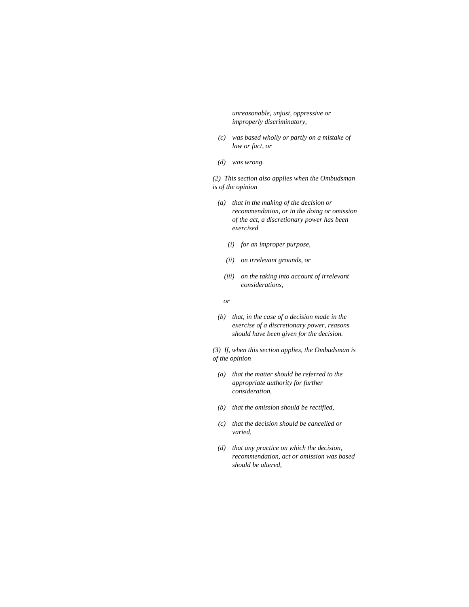*unreasonable, unjust, oppressive or improperly discriminatory,* 

- *(c) was based wholly or partly on a mistake of law or fact, or*
- *(d) was wrong.*

*(2) This section also applies when the Ombudsman is of the opinion* 

- *(a) that in the making of the decision or recommendation, or in the doing or omission of the act, a discretionary power has been exercised* 
	- *(i) for an improper purpose,*
	- *(ii) on irrelevant grounds, or*
	- *(iii) on the taking into account of irrelevant considerations,*
- *or* 
	- *(b) that, in the case of a decision made in the exercise of a discretionary power, reasons should have been given for the decision.*

*(3) If, when this section applies, the Ombudsman is of the opinion* 

- *(a) that the matter should be referred to the appropriate authority for further consideration,*
- *(b) that the omission should be rectified,*
- *(c) that the decision should be cancelled or varied,*
- *(d) that any practice on which the decision, recommendation, act or omission was based should be altered,*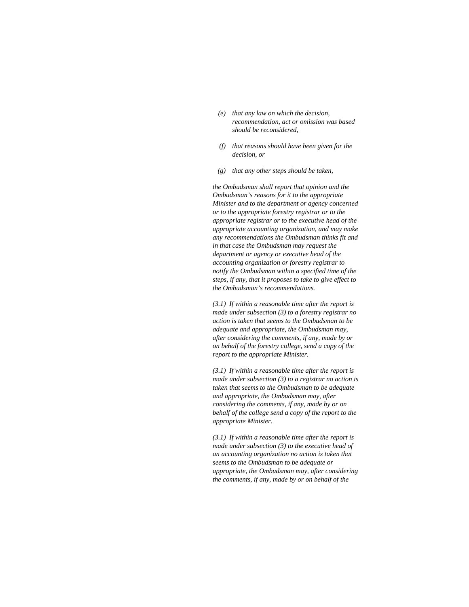- *(e) that any law on which the decision, recommendation, act or omission was based should be reconsidered,*
- *(f) that reasons should have been given for the decision, or*
- *(g) that any other steps should be taken,*

*the Ombudsman shall report that opinion and the Ombudsman's reasons for it to the appropriate Minister and to the department or agency concerned or to the appropriate forestry registrar or to the appropriate registrar or to the executive head of the appropriate accounting organization, and may make any recommendations the Ombudsman thinks fit and in that case the Ombudsman may request the department or agency or executive head of the accounting organization or forestry registrar to notify the Ombudsman within a specified time of the steps, if any, that it proposes to take to give effect to the Ombudsman's recommendations.* 

*(3.1) If within a reasonable time after the report is made under subsection (3) to a forestry registrar no action is taken that seems to the Ombudsman to be adequate and appropriate, the Ombudsman may, after considering the comments, if any, made by or on behalf of the forestry college, send a copy of the report to the appropriate Minister.* 

*(3.1) If within a reasonable time after the report is made under subsection (3) to a registrar no action is taken that seems to the Ombudsman to be adequate and appropriate, the Ombudsman may, after considering the comments, if any, made by or on behalf of the college send a copy of the report to the appropriate Minister.* 

*(3.1) If within a reasonable time after the report is made under subsection (3) to the executive head of an accounting organization no action is taken that seems to the Ombudsman to be adequate or appropriate, the Ombudsman may, after considering the comments, if any, made by or on behalf of the*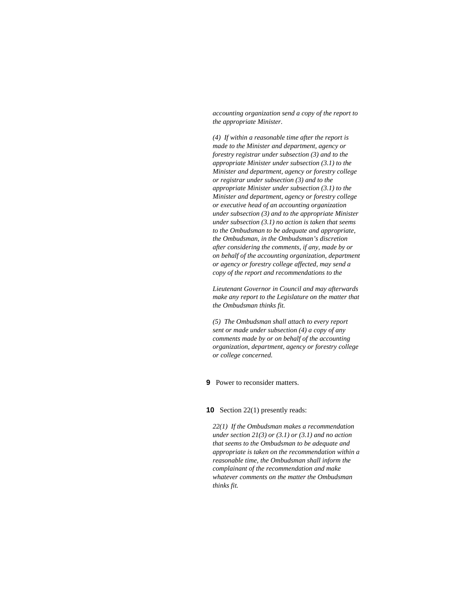*accounting organization send a copy of the report to the appropriate Minister.* 

*(4) If within a reasonable time after the report is made to the Minister and department, agency or forestry registrar under subsection (3) and to the appropriate Minister under subsection (3.1) to the Minister and department, agency or forestry college or registrar under subsection (3) and to the appropriate Minister under subsection (3.1) to the Minister and department, agency or forestry college or executive head of an accounting organization under subsection (3) and to the appropriate Minister under subsection (3.1) no action is taken that seems to the Ombudsman to be adequate and appropriate, the Ombudsman, in the Ombudsman's discretion after considering the comments, if any, made by or on behalf of the accounting organization, department or agency or forestry college affected, may send a copy of the report and recommendations to the* 

*Lieutenant Governor in Council and may afterwards make any report to the Legislature on the matter that the Ombudsman thinks fit.* 

*(5) The Ombudsman shall attach to every report sent or made under subsection (4) a copy of any comments made by or on behalf of the accounting organization, department, agency or forestry college or college concerned.* 

# **9** Power to reconsider matters.

#### **10** Section 22(1) presently reads:

*22(1) If the Ombudsman makes a recommendation under section 21(3) or (3.1) or (3.1) and no action that seems to the Ombudsman to be adequate and appropriate is taken on the recommendation within a reasonable time, the Ombudsman shall inform the complainant of the recommendation and make whatever comments on the matter the Ombudsman thinks fit.*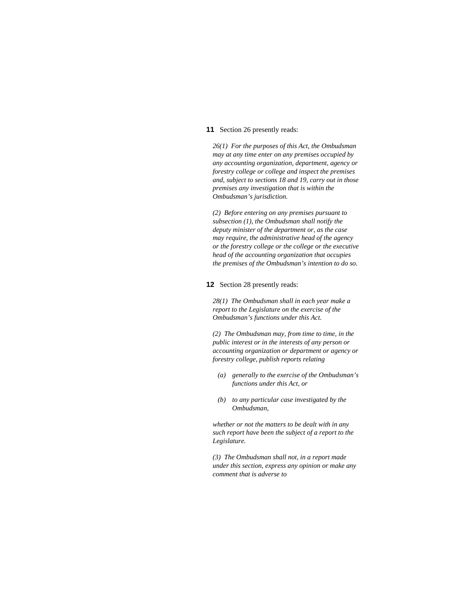#### **11** Section 26 presently reads:

*26(1) For the purposes of this Act, the Ombudsman may at any time enter on any premises occupied by any accounting organization, department, agency or forestry college or college and inspect the premises and, subject to sections 18 and 19, carry out in those premises any investigation that is within the Ombudsman's jurisdiction.* 

*(2) Before entering on any premises pursuant to subsection (1), the Ombudsman shall notify the deputy minister of the department or, as the case may require, the administrative head of the agency or the forestry college or the college or the executive head of the accounting organization that occupies the premises of the Ombudsman's intention to do so.* 

#### **12** Section 28 presently reads:

*28(1) The Ombudsman shall in each year make a report to the Legislature on the exercise of the Ombudsman's functions under this Act.* 

*(2) The Ombudsman may, from time to time, in the public interest or in the interests of any person or accounting organization or department or agency or forestry college, publish reports relating* 

- *(a) generally to the exercise of the Ombudsman's functions under this Act, or*
- *(b) to any particular case investigated by the Ombudsman,*

*whether or not the matters to be dealt with in any such report have been the subject of a report to the Legislature.* 

*(3) The Ombudsman shall not, in a report made under this section, express any opinion or make any comment that is adverse to*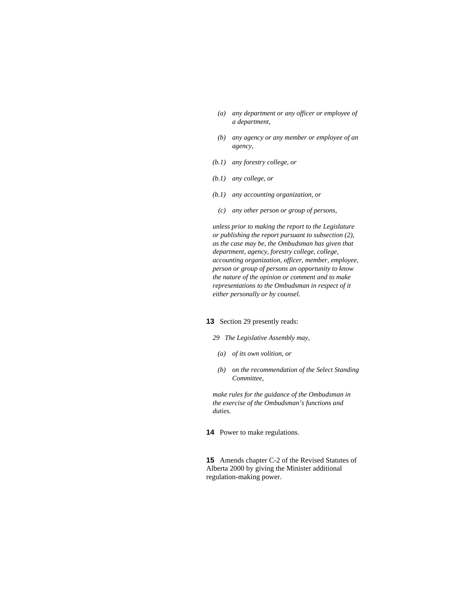- *(a) any department or any officer or employee of a department,*
- *(b) any agency or any member or employee of an agency,*
- *(b.1) any forestry college, or*
- *(b.1) any college, or*
- *(b.1) any accounting organization, or* 
	- *(c) any other person or group of persons,*

*unless prior to making the report to the Legislature or publishing the report pursuant to subsection (2), as the case may be, the Ombudsman has given that department, agency, forestry college, college, accounting organization, officer, member, employee, person or group of persons an opportunity to know the nature of the opinion or comment and to make representations to the Ombudsman in respect of it either personally or by counsel.* 

# **13** Section 29 presently reads:

#### *29 The Legislative Assembly may,*

- *(a) of its own volition, or*
- *(b) on the recommendation of the Select Standing Committee,*

*make rules for the guidance of the Ombudsman in the exercise of the Ombudsman's functions and duties.* 

**14** Power to make regulations.

**15** Amends chapter C-2 of the Revised Statutes of Alberta 2000 by giving the Minister additional regulation-making power.